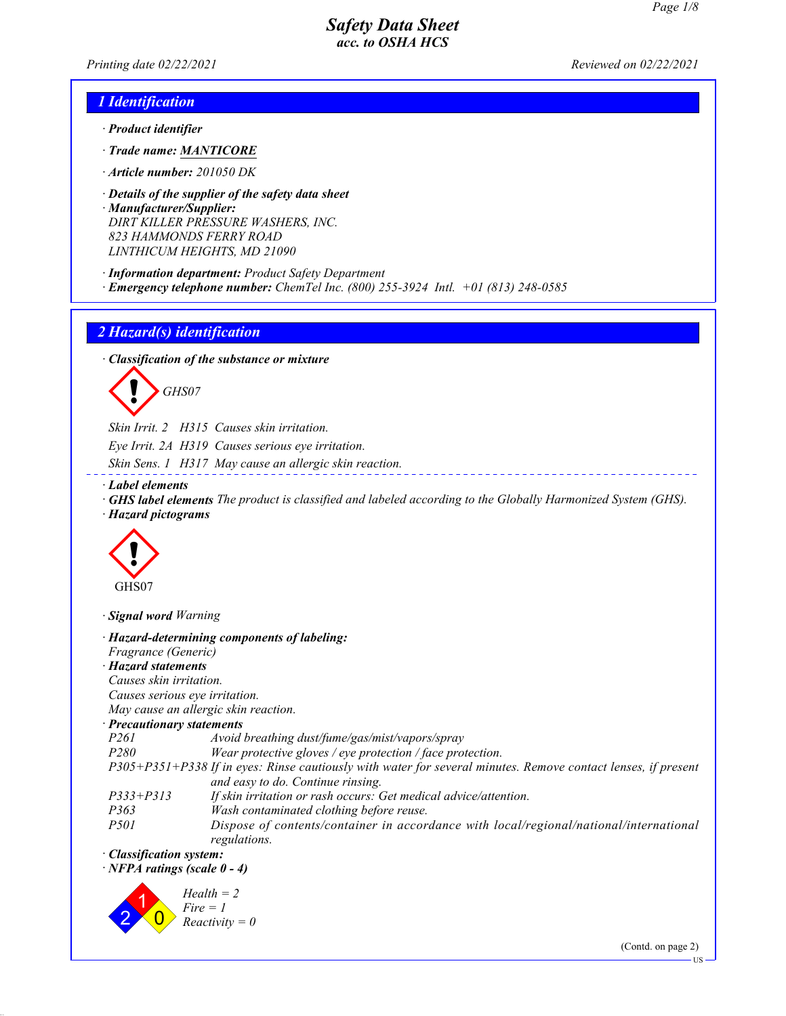*Printing date 02/22/2021 Reviewed on 02/22/2021*

## *1 Identification*

- *· Product identifier*
- *· Trade name: MANTICORE*
- *· Article number: 201050 DK*
- *· Details of the supplier of the safety data sheet*
- *· Manufacturer/Supplier: DIRT KILLER PRESSURE WASHERS, INC. 823 HAMMONDS FERRY ROAD LINTHICUM HEIGHTS, MD 21090*
- *· Information department: Product Safety Department · Emergency telephone number: ChemTel Inc. (800) 255-3924 Intl. +01 (813) 248-0585*

### *2 Hazard(s) identification*

*· Classification of the substance or mixture*

d~*GHS07*

*Skin Irrit. 2 H315 Causes skin irritation.*

*Eye Irrit. 2A H319 Causes serious eye irritation.*

- *Skin Sens. 1 H317 May cause an allergic skin reaction.*
- *· Label elements*
- *· GHS label elements The product is classified and labeled according to the Globally Harmonized System (GHS). · Hazard pictograms*

<u> - - - - - - - - -</u>



*· Signal word Warning*

|                                                                                                                                                    | · Hazard-determining components of labeling:                                                           |
|----------------------------------------------------------------------------------------------------------------------------------------------------|--------------------------------------------------------------------------------------------------------|
| Fragrance (Generic)                                                                                                                                |                                                                                                        |
| $\cdot$ Hazard statements                                                                                                                          |                                                                                                        |
| Causes skin irritation.                                                                                                                            |                                                                                                        |
| Causes serious eye irritation.                                                                                                                     |                                                                                                        |
|                                                                                                                                                    | May cause an allergic skin reaction.                                                                   |
| · Precautionary statements                                                                                                                         |                                                                                                        |
| <i>P261</i>                                                                                                                                        | Avoid breathing dust/fume/gas/mist/vapors/spray                                                        |
| <i>P280</i>                                                                                                                                        | Wear protective gloves / eye protection / face protection.                                             |
| P305+P351+P338 If in eyes: Rinse cautiously with water for several minutes. Remove contact lenses, if present<br>and easy to do. Continue rinsing. |                                                                                                        |
| $P333 + P313$                                                                                                                                      | If skin irritation or rash occurs: Get medical advice/attention.                                       |
| P363                                                                                                                                               | Wash contaminated clothing before reuse.                                                               |
| <i>P501</i>                                                                                                                                        | Dispose of contents/container in accordance with local/regional/national/international<br>regulations. |
| · Classification system:                                                                                                                           |                                                                                                        |
| $\cdot$ NFPA ratings (scale 0 - 4)                                                                                                                 |                                                                                                        |
|                                                                                                                                                    | $Health = 2$<br>$Fire = 1$<br>$Reactivity = 0$                                                         |

(Contd. on page 2)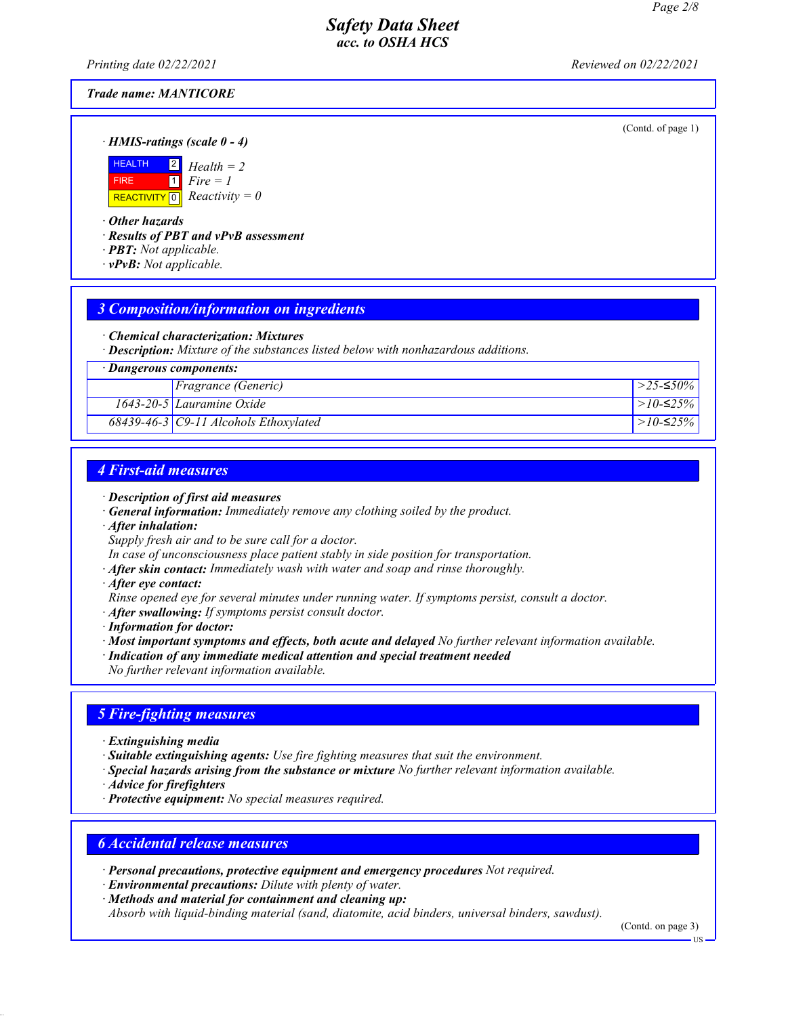*Printing date 02/22/2021 Reviewed on 02/22/2021*

#### *Trade name: MANTICORE*

(Contd. of page 1)

*· HMIS-ratings (scale 0 - 4)*



*· Other hazards*

*· Results of PBT and vPvB assessment*

- *· PBT: Not applicable.*
- *· vPvB: Not applicable.*

### *3 Composition/information on ingredients*

*· Chemical characterization: Mixtures*

*· Description: Mixture of the substances listed below with nonhazardous additions.*

| · Dangerous components: |                                                   |             |
|-------------------------|---------------------------------------------------|-------------|
|                         | <i>Fragrance (Generic)</i>                        | >25-≤50%    |
|                         | 1643-20-5 Lauramine Oxide                         | $>10-≤25%$  |
|                         | $\sqrt{68439}$ -46-3   C9-11 Alcohols Ethoxylated | $>10$ -≤25% |

## *4 First-aid measures*

- *· Description of first aid measures*
- *· General information: Immediately remove any clothing soiled by the product.*
- *· After inhalation:*
- *Supply fresh air and to be sure call for a doctor.*

*In case of unconsciousness place patient stably in side position for transportation.*

- *· After skin contact: Immediately wash with water and soap and rinse thoroughly.*
- *· After eye contact:*

*Rinse opened eye for several minutes under running water. If symptoms persist, consult a doctor.*

*· After swallowing: If symptoms persist consult doctor.*

*· Information for doctor:*

*· Most important symptoms and effects, both acute and delayed No further relevant information available.*

*· Indication of any immediate medical attention and special treatment needed*

*No further relevant information available.*

## *5 Fire-fighting measures*

- *· Extinguishing media*
- *· Suitable extinguishing agents: Use fire fighting measures that suit the environment.*
- *· Special hazards arising from the substance or mixture No further relevant information available.*
- *· Advice for firefighters*
- *· Protective equipment: No special measures required.*

### *6 Accidental release measures*

- *· Personal precautions, protective equipment and emergency procedures Not required.*
- *· Environmental precautions: Dilute with plenty of water.*
- *· Methods and material for containment and cleaning up:*

*Absorb with liquid-binding material (sand, diatomite, acid binders, universal binders, sawdust).*

(Contd. on page 3)

**HS**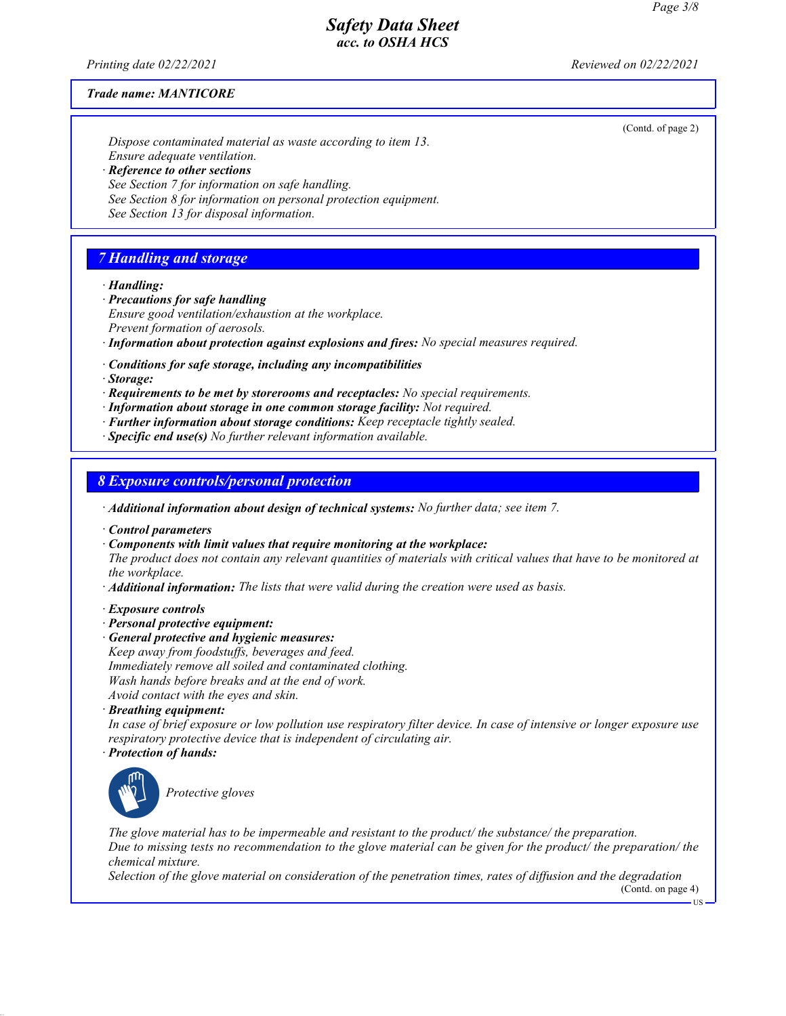(Contd. of page 2)

## *Safety Data Sheet acc. to OSHA HCS*

*Printing date 02/22/2021 Reviewed on 02/22/2021*

#### *Trade name: MANTICORE*

*Dispose contaminated material as waste according to item 13. Ensure adequate ventilation. · Reference to other sections See Section 7 for information on safe handling. See Section 8 for information on personal protection equipment.*

*See Section 13 for disposal information.*

## *7 Handling and storage*

*· Handling:*

- *· Precautions for safe handling Ensure good ventilation/exhaustion at the workplace. Prevent formation of aerosols.*
- *· Information about protection against explosions and fires: No special measures required.*
- *· Conditions for safe storage, including any incompatibilities*
- *· Storage:*
- *· Requirements to be met by storerooms and receptacles: No special requirements.*
- *· Information about storage in one common storage facility: Not required.*
- *· Further information about storage conditions: Keep receptacle tightly sealed.*

*· Specific end use(s) No further relevant information available.*

*8 Exposure controls/personal protection*

- *· Additional information about design of technical systems: No further data; see item 7.*
- *· Control parameters*
- *· Components with limit values that require monitoring at the workplace:*
- *The product does not contain any relevant quantities of materials with critical values that have to be monitored at the workplace.*
- *· Additional information: The lists that were valid during the creation were used as basis.*
- *· Exposure controls*
- *· Personal protective equipment:*
- *· General protective and hygienic measures: Keep away from foodstuffs, beverages and feed. Immediately remove all soiled and contaminated clothing. Wash hands before breaks and at the end of work.*

*Avoid contact with the eyes and skin.*

*· Breathing equipment:*

*In case of brief exposure or low pollution use respiratory filter device. In case of intensive or longer exposure use respiratory protective device that is independent of circulating air.*

*· Protection of hands:*



\_S*Protective gloves*

*The glove material has to be impermeable and resistant to the product/ the substance/ the preparation. Due to missing tests no recommendation to the glove material can be given for the product/ the preparation/ the chemical mixture.*

*Selection of the glove material on consideration of the penetration times, rates of diffusion and the degradation*

(Contd. on page 4)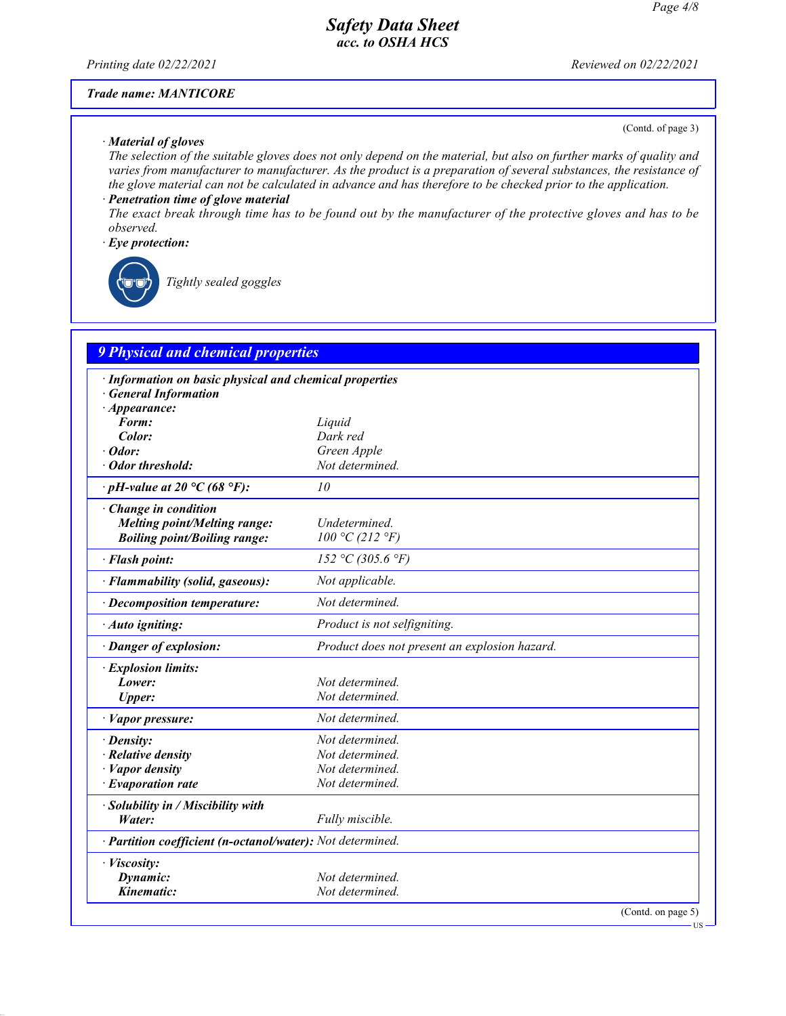*Printing date 02/22/2021 Reviewed on 02/22/2021*

#### *Trade name: MANTICORE*

#### *· Material of gloves*

(Contd. of page 3)

US

*The selection of the suitable gloves does not only depend on the material, but also on further marks of quality and varies from manufacturer to manufacturer. As the product is a preparation of several substances, the resistance of the glove material can not be calculated in advance and has therefore to be checked prior to the application.*

### *· Penetration time of glove material*

*The exact break through time has to be found out by the manufacturer of the protective gloves and has to be observed.*

#### *· Eye protection:*



\_R*Tightly sealed goggles*

## *9 Physical and chemical properties*

| · Information on basic physical and chemical properties    |                                               |
|------------------------------------------------------------|-----------------------------------------------|
| $\cdot$ General Information                                |                                               |
| $\cdot$ Appearance:                                        |                                               |
| Form:                                                      | Liquid                                        |
| Color:                                                     | Dark red                                      |
| $\cdot$ Odor:                                              | Green Apple                                   |
| · Odor threshold:                                          | Not determined.                               |
|                                                            |                                               |
| $\cdot$ pH-value at 20 °C (68 °F):                         | 10                                            |
| $\cdot$ Change in condition                                |                                               |
| <b>Melting point/Melting range:</b>                        | Undetermined.                                 |
| <b>Boiling point/Boiling range:</b>                        | 100 °C (212 °F)                               |
| · Flash point:                                             | 152 °C (305.6 °F)                             |
| · Flammability (solid, gaseous):                           | Not applicable.                               |
| $\cdot$ Decomposition temperature:                         | Not determined.                               |
| · Auto igniting:                                           | Product is not selfigniting.                  |
| · Danger of explosion:                                     | Product does not present an explosion hazard. |
| · Explosion limits:                                        |                                               |
| Lower:                                                     | Not determined.                               |
| <b>Upper:</b>                                              | Not determined.                               |
| · Vapor pressure:                                          | Not determined.                               |
| $\cdot$ Density:                                           | Not determined.                               |
| $\cdot$ Relative density                                   | Not determined.                               |
| $\cdot$ <i>Vapor density</i>                               | Not determined.                               |
| $\cdot$ Evaporation rate                                   | Not determined.                               |
| $\cdot$ Solubility in / Miscibility with                   |                                               |
| Water:                                                     | Fully miscible.                               |
| · Partition coefficient (n-octanol/water): Not determined. |                                               |
| · Viscosity:                                               |                                               |
| Dynamic:                                                   | Not determined.                               |
| Kinematic:                                                 | Not determined.                               |
|                                                            | (Contd. on page 5)                            |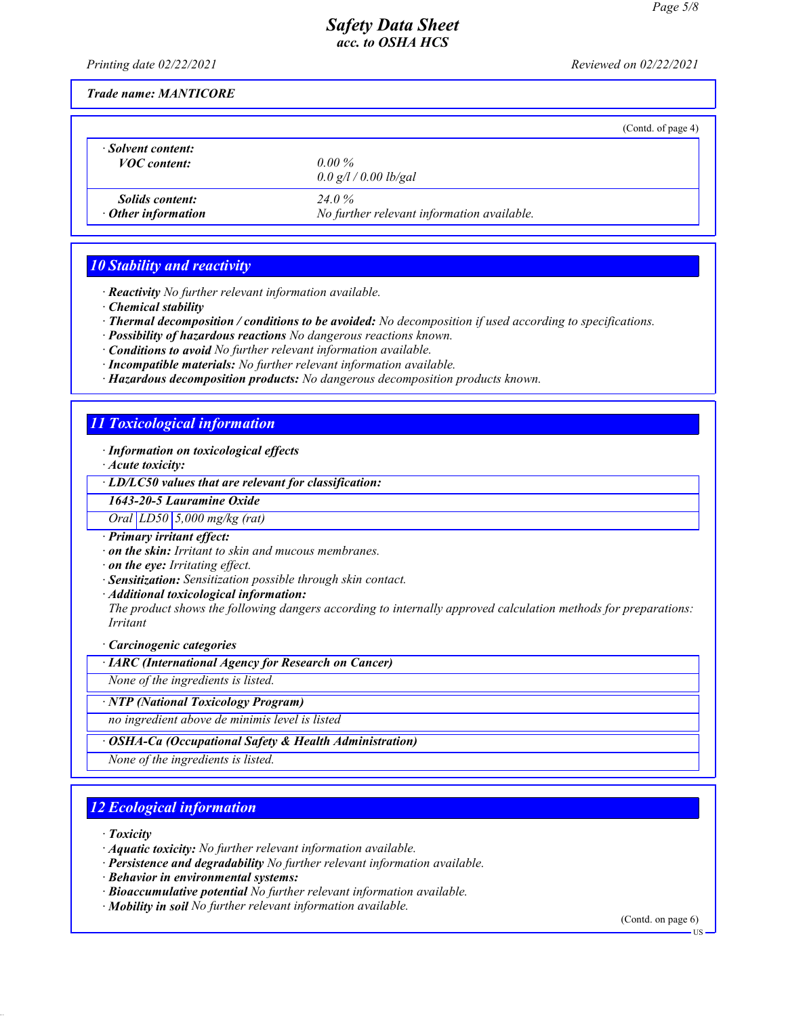*Printing date 02/22/2021 Reviewed on 02/22/2021*

*Trade name: MANTICORE*

|                                                     |                                                      | (Cond. of page 4) |
|-----------------------------------------------------|------------------------------------------------------|-------------------|
| · Solvent content:<br><i>VOC content:</i>           | 0.00 $\%$<br>0.0 g/l / 0.00 lb/gal                   |                   |
| <i>Solids content:</i><br>$\cdot$ Other information | 24 Q %<br>No further relevant information available. |                   |

### *10 Stability and reactivity*

- *· Reactivity No further relevant information available.*
- *· Chemical stability*
- *· Thermal decomposition / conditions to be avoided: No decomposition if used according to specifications.*
- *· Possibility of hazardous reactions No dangerous reactions known.*
- *· Conditions to avoid No further relevant information available.*
- *· Incompatible materials: No further relevant information available.*
- *· Hazardous decomposition products: No dangerous decomposition products known.*

## *11 Toxicological information*

*· Information on toxicological effects*

*· Acute toxicity:*

*· LD/LC50 values that are relevant for classification:*

*1643-20-5 Lauramine Oxide*

*Oral LD50 5,000 mg/kg (rat)*

*· Primary irritant effect:*

*· on the skin: Irritant to skin and mucous membranes.*

*· on the eye: Irritating effect.*

*· Sensitization: Sensitization possible through skin contact.*

*· Additional toxicological information:*

*The product shows the following dangers according to internally approved calculation methods for preparations: Irritant*

*· Carcinogenic categories*

*· IARC (International Agency for Research on Cancer)*

*None of the ingredients is listed.*

*· NTP (National Toxicology Program)*

*no ingredient above de minimis level is listed*

*· OSHA-Ca (Occupational Safety & Health Administration)*

*None of the ingredients is listed.*

## *12 Ecological information*

*· Toxicity*

- *· Aquatic toxicity: No further relevant information available.*
- *· Persistence and degradability No further relevant information available.*

*· Behavior in environmental systems:*

- *· Bioaccumulative potential No further relevant information available.*
- *· Mobility in soil No further relevant information available.*

(Contd. on page 6)

US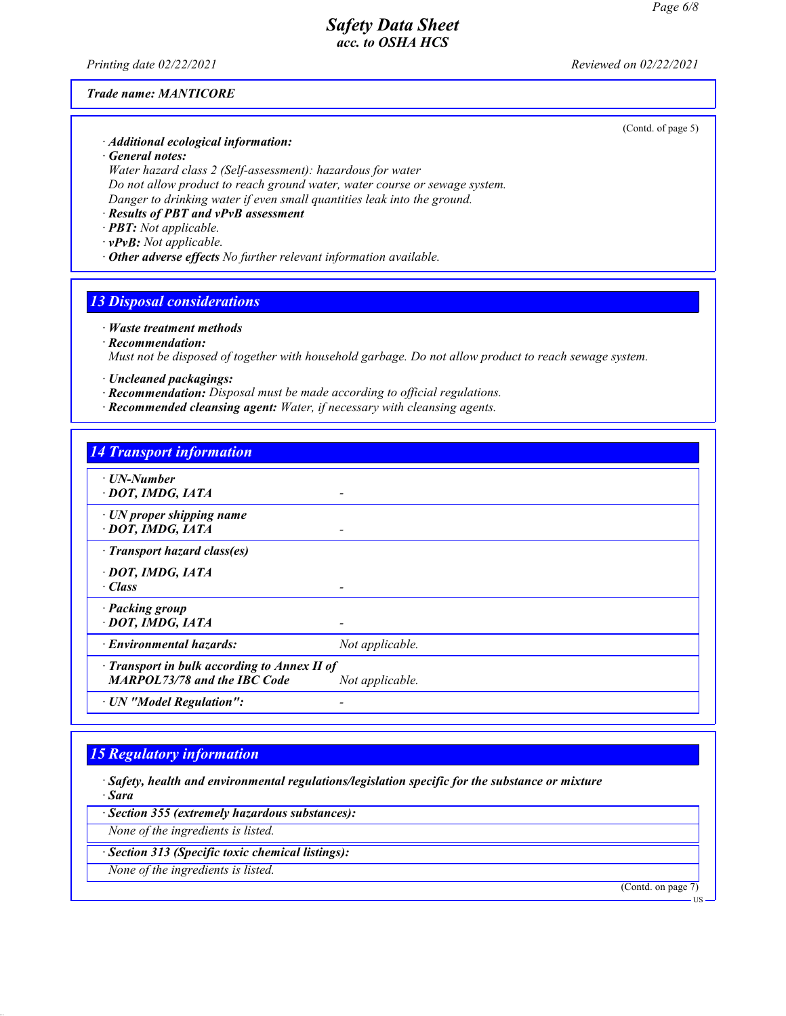*Printing date 02/22/2021 Reviewed on 02/22/2021*

#### *Trade name: MANTICORE*

(Contd. of page 5)

- *· Additional ecological information:*
- *· General notes:*

*Water hazard class 2 (Self-assessment): hazardous for water Do not allow product to reach ground water, water course or sewage system. Danger to drinking water if even small quantities leak into the ground.*

*· Results of PBT and vPvB assessment*

*· PBT: Not applicable.*

*· vPvB: Not applicable.*

*· Other adverse effects No further relevant information available.*

## *13 Disposal considerations*

#### *· Waste treatment methods*

#### *· Recommendation:*

*Must not be disposed of together with household garbage. Do not allow product to reach sewage system.*

- *· Uncleaned packagings:*
- *· Recommendation: Disposal must be made according to official regulations.*
- *· Recommended cleansing agent: Water, if necessary with cleansing agents.*

## *14 Transport information*

- *· UN-Number*
- *· DOT, IMDG, IATA*
- *· UN proper shipping name · DOT, IMDG, IATA -*
- *· Transport hazard class(es)*
- *· DOT, IMDG, IATA*
- *· Class*
- *· Packing group*
- *· DOT, IMDG, IATA*
- *· Environmental hazards: Not applicable.*
- *· Transport in bulk according to Annex II of*
- *MARPOL73/78 and the IBC Code Not applicable.*
- *· UN "Model Regulation":*

## *15 Regulatory information*

- *· Safety, health and environmental regulations/legislation specific for the substance or mixture · Sara*
- *· Section 355 (extremely hazardous substances):*
- *None of the ingredients is listed.*
- *· Section 313 (Specific toxic chemical listings):*
- *None of the ingredients is listed.*

(Contd. on page 7)

US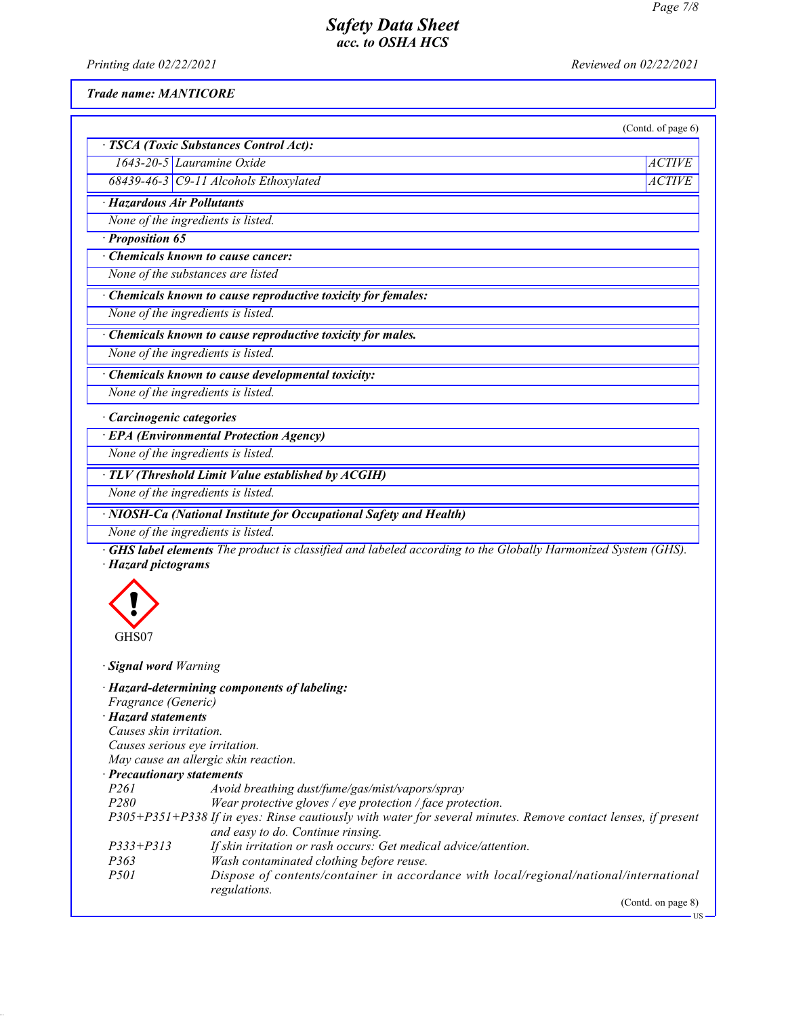*Printing date 02/22/2021 Reviewed on 02/22/2021*

#### *Trade name: MANTICORE*

| (Contd. of page 6) |
|--------------------|

*1643-20-5 Lauramine Oxide ACTIVE 68439-46-3 C9-11 Alcohols Ethoxylated ACTIVE*

*· TSCA (Toxic Substances Control Act):*

## *· Hazardous Air Pollutants*

*None of the ingredients is listed.*

## *· Proposition 65*

*· Chemicals known to cause cancer:*

*None of the substances are listed*

*· Chemicals known to cause reproductive toxicity for females:*

*None of the ingredients is listed.*

*· Chemicals known to cause reproductive toxicity for males.*

*None of the ingredients is listed.*

## *· Chemicals known to cause developmental toxicity:*

*None of the ingredients is listed.*

## *· Carcinogenic categories*

*· EPA (Environmental Protection Agency)*

*None of the ingredients is listed.*

## *· TLV (Threshold Limit Value established by ACGIH)*

*None of the ingredients is listed.*

## *· NIOSH-Ca (National Institute for Occupational Safety and Health)*

*None of the ingredients is listed.*

*· GHS label elements The product is classified and labeled according to the Globally Harmonized System (GHS). · Hazard pictograms*



# *· Signal word Warning*

|                                                                                                               | · Hazard-determining components of labeling:                                           |  |
|---------------------------------------------------------------------------------------------------------------|----------------------------------------------------------------------------------------|--|
| Fragrance (Generic)                                                                                           |                                                                                        |  |
| $\cdot$ Hazard statements                                                                                     |                                                                                        |  |
| Causes skin irritation.                                                                                       |                                                                                        |  |
| Causes serious eye irritation.                                                                                |                                                                                        |  |
| May cause an allergic skin reaction.                                                                          |                                                                                        |  |
| · Precautionary statements                                                                                    |                                                                                        |  |
| <i>P261</i>                                                                                                   | Avoid breathing dust/fume/gas/mist/vapors/spray                                        |  |
| <i>P280</i>                                                                                                   | Wear protective gloves / eye protection / face protection.                             |  |
| P305+P351+P338 If in eyes: Rinse cautiously with water for several minutes. Remove contact lenses, if present |                                                                                        |  |
|                                                                                                               | and easy to do. Continue rinsing.                                                      |  |
| $P333 + P313$                                                                                                 | If skin irritation or rash occurs: Get medical advice/attention.                       |  |
| P363                                                                                                          | Wash contaminated clothing before reuse.                                               |  |
| <i>P501</i>                                                                                                   | Dispose of contents/container in accordance with local/regional/national/international |  |
|                                                                                                               | regulations.                                                                           |  |
|                                                                                                               | (Contd. on page 8)                                                                     |  |